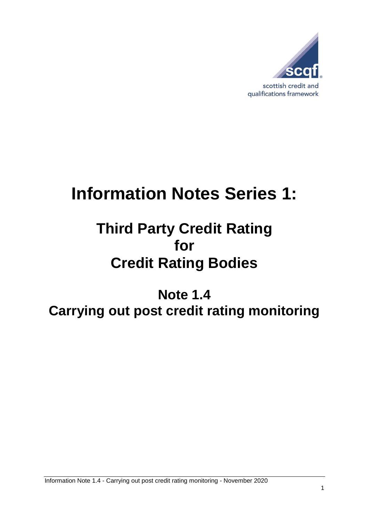

# **Information Notes Series 1:**

## **Third Party Credit Rating for Credit Rating Bodies**

### **Note 1.4 Carrying out post credit rating monitoring**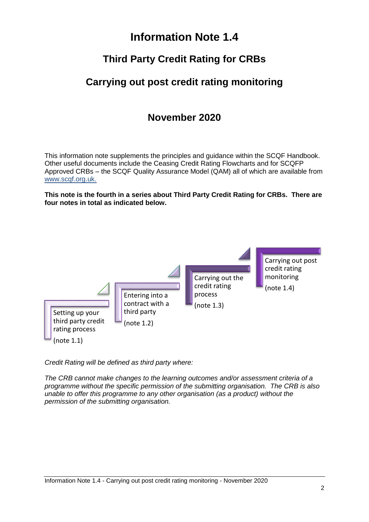#### **Information Note 1.4**

#### **Third Party Credit Rating for CRBs**

#### **Carrying out post credit rating monitoring**

#### **November 2020**

This information note supplements the principles and guidance within the SCQF Handbook. Other useful documents include the Ceasing Credit Rating Flowcharts and for SCQFP Approved CRBs – the SCQF Quality Assurance Model (QAM) all of which are available from [www.scqf.org.uk.](http://www.scqf.org.uk/)

**This note is the fourth in a series about Third Party Credit Rating for CRBs. There are four notes in total as indicated below.** 



*Credit Rating will be defined as third party where:*

*The CRB cannot make changes to the learning outcomes and/or assessment criteria of a programme without the specific permission of the submitting organisation. The CRB is also unable to offer this programme to any other organisation (as a product) without the permission of the submitting organisation.*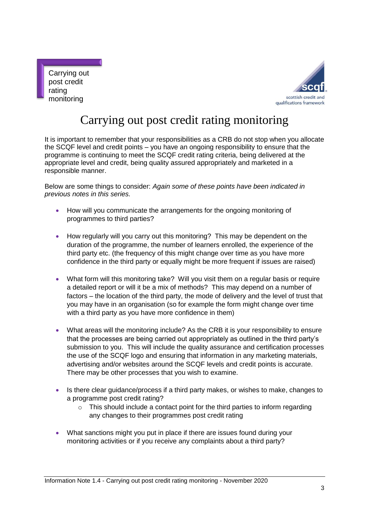



### Carrying out post credit rating monitoring

It is important to remember that your responsibilities as a CRB do not stop when you allocate the SCQF level and credit points – you have an ongoing responsibility to ensure that the programme is continuing to meet the SCQF credit rating criteria, being delivered at the appropriate level and credit, being quality assured appropriately and marketed in a responsible manner.

Below are some things to consider: *Again some of these points have been indicated in previous notes in this series.*

- How will you communicate the arrangements for the ongoing monitoring of programmes to third parties?
- How regularly will you carry out this monitoring? This may be dependent on the duration of the programme, the number of learners enrolled, the experience of the third party etc. (the frequency of this might change over time as you have more confidence in the third party or equally might be more frequent if issues are raised)
- What form will this monitoring take? Will you visit them on a regular basis or require a detailed report or will it be a mix of methods? This may depend on a number of factors – the location of the third party, the mode of delivery and the level of trust that you may have in an organisation (so for example the form might change over time with a third party as you have more confidence in them)
- What areas will the monitoring include? As the CRB it is your responsibility to ensure that the processes are being carried out appropriately as outlined in the third party's submission to you. This will include the quality assurance and certification processes the use of the SCQF logo and ensuring that information in any marketing materials, advertising and/or websites around the SCQF levels and credit points is accurate. There may be other processes that you wish to examine.
- Is there clear guidance/process if a third party makes, or wishes to make, changes to a programme post credit rating?
	- $\circ$  This should include a contact point for the third parties to inform regarding any changes to their programmes post credit rating
- What sanctions might you put in place if there are issues found during your monitoring activities or if you receive any complaints about a third party?